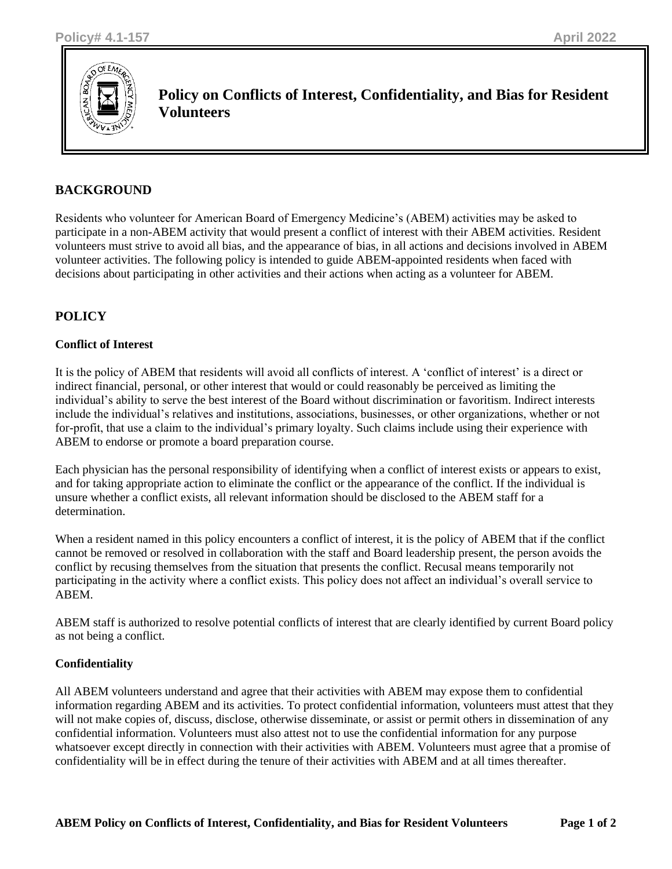

**Policy on Conflicts of Interest, Confidentiality, and Bias for Resident Volunteers**

# **BACKGROUND**

Residents who volunteer for American Board of Emergency Medicine's (ABEM) activities may be asked to participate in a non-ABEM activity that would present a conflict of interest with their ABEM activities. Resident volunteers must strive to avoid all bias, and the appearance of bias, in all actions and decisions involved in ABEM volunteer activities. The following policy is intended to guide ABEM-appointed residents when faced with decisions about participating in other activities and their actions when acting as a volunteer for ABEM.

## **POLICY**

#### **Conflict of Interest**

It is the policy of ABEM that residents will avoid all conflicts of interest. A 'conflict of interest' is a direct or indirect financial, personal, or other interest that would or could reasonably be perceived as limiting the individual's ability to serve the best interest of the Board without discrimination or favoritism. Indirect interests include the individual's relatives and institutions, associations, businesses, or other organizations, whether or not for-profit, that use a claim to the individual's primary loyalty. Such claims include using their experience with ABEM to endorse or promote a board preparation course.

Each physician has the personal responsibility of identifying when a conflict of interest exists or appears to exist, and for taking appropriate action to eliminate the conflict or the appearance of the conflict. If the individual is unsure whether a conflict exists, all relevant information should be disclosed to the ABEM staff for a determination.

When a resident named in this policy encounters a conflict of interest, it is the policy of ABEM that if the conflict cannot be removed or resolved in collaboration with the staff and Board leadership present, the person avoids the conflict by recusing themselves from the situation that presents the conflict. Recusal means temporarily not participating in the activity where a conflict exists. This policy does not affect an individual's overall service to ABEM.

ABEM staff is authorized to resolve potential conflicts of interest that are clearly identified by current Board policy as not being a conflict.

#### **Confidentiality**

All ABEM volunteers understand and agree that their activities with ABEM may expose them to confidential information regarding ABEM and its activities. To protect confidential information, volunteers must attest that they will not make copies of, discuss, disclose, otherwise disseminate, or assist or permit others in dissemination of any confidential information. Volunteers must also attest not to use the confidential information for any purpose whatsoever except directly in connection with their activities with ABEM. Volunteers must agree that a promise of confidentiality will be in effect during the tenure of their activities with ABEM and at all times thereafter.